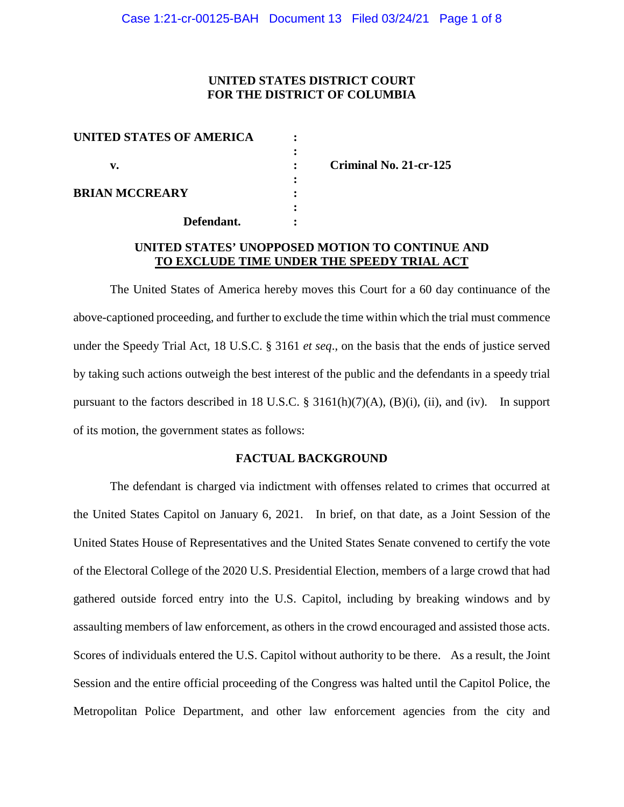## **UNITED STATES DISTRICT COURT FOR THE DISTRICT OF COLUMBIA**

| UNITED STATES OF AMERICA |  |
|--------------------------|--|
|                          |  |
| v.                       |  |
|                          |  |
| <b>BRIAN MCCREARY</b>    |  |
|                          |  |
| Defendant.               |  |

**v. : Criminal No. 21-cr-125** 

# **UNITED STATES' UNOPPOSED MOTION TO CONTINUE AND TO EXCLUDE TIME UNDER THE SPEEDY TRIAL ACT**

The United States of America hereby moves this Court for a 60 day continuance of the above-captioned proceeding, and further to exclude the time within which the trial must commence under the Speedy Trial Act, 18 U.S.C. § 3161 *et seq*., on the basis that the ends of justice served by taking such actions outweigh the best interest of the public and the defendants in a speedy trial pursuant to the factors described in 18 U.S.C. § 3161(h)(7)(A), (B)(i), (ii), and (iv). In support of its motion, the government states as follows:

#### **FACTUAL BACKGROUND**

The defendant is charged via indictment with offenses related to crimes that occurred at the United States Capitol on January 6, 2021. In brief, on that date, as a Joint Session of the United States House of Representatives and the United States Senate convened to certify the vote of the Electoral College of the 2020 U.S. Presidential Election, members of a large crowd that had gathered outside forced entry into the U.S. Capitol, including by breaking windows and by assaulting members of law enforcement, as others in the crowd encouraged and assisted those acts. Scores of individuals entered the U.S. Capitol without authority to be there. As a result, the Joint Session and the entire official proceeding of the Congress was halted until the Capitol Police, the Metropolitan Police Department, and other law enforcement agencies from the city and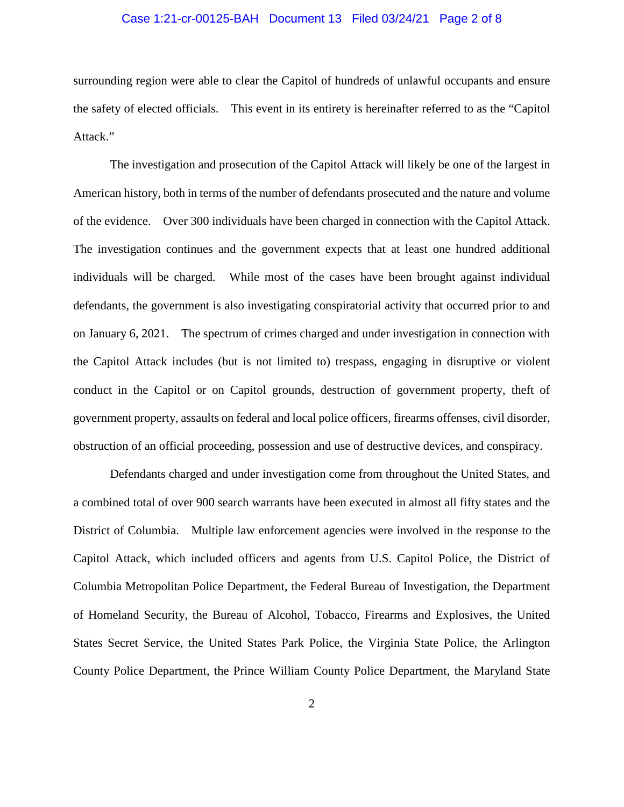### Case 1:21-cr-00125-BAH Document 13 Filed 03/24/21 Page 2 of 8

surrounding region were able to clear the Capitol of hundreds of unlawful occupants and ensure the safety of elected officials. This event in its entirety is hereinafter referred to as the "Capitol Attack."

The investigation and prosecution of the Capitol Attack will likely be one of the largest in American history, both in terms of the number of defendants prosecuted and the nature and volume of the evidence. Over 300 individuals have been charged in connection with the Capitol Attack. The investigation continues and the government expects that at least one hundred additional individuals will be charged. While most of the cases have been brought against individual defendants, the government is also investigating conspiratorial activity that occurred prior to and on January 6, 2021. The spectrum of crimes charged and under investigation in connection with the Capitol Attack includes (but is not limited to) trespass, engaging in disruptive or violent conduct in the Capitol or on Capitol grounds, destruction of government property, theft of government property, assaults on federal and local police officers, firearms offenses, civil disorder, obstruction of an official proceeding, possession and use of destructive devices, and conspiracy.

Defendants charged and under investigation come from throughout the United States, and a combined total of over 900 search warrants have been executed in almost all fifty states and the District of Columbia. Multiple law enforcement agencies were involved in the response to the Capitol Attack, which included officers and agents from U.S. Capitol Police, the District of Columbia Metropolitan Police Department, the Federal Bureau of Investigation, the Department of Homeland Security, the Bureau of Alcohol, Tobacco, Firearms and Explosives, the United States Secret Service, the United States Park Police, the Virginia State Police, the Arlington County Police Department, the Prince William County Police Department, the Maryland State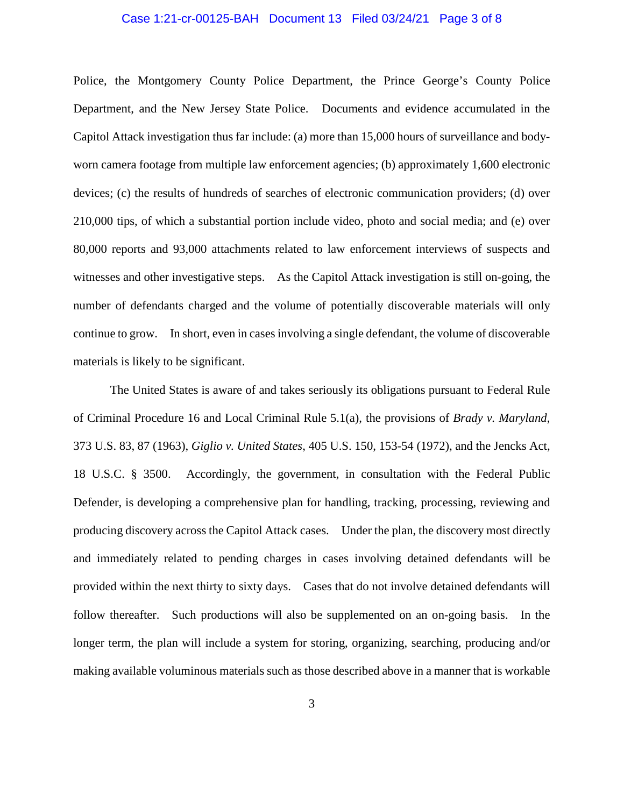### Case 1:21-cr-00125-BAH Document 13 Filed 03/24/21 Page 3 of 8

Police, the Montgomery County Police Department, the Prince George's County Police Department, and the New Jersey State Police. Documents and evidence accumulated in the Capitol Attack investigation thus far include: (a) more than 15,000 hours of surveillance and bodyworn camera footage from multiple law enforcement agencies; (b) approximately 1,600 electronic devices; (c) the results of hundreds of searches of electronic communication providers; (d) over 210,000 tips, of which a substantial portion include video, photo and social media; and (e) over 80,000 reports and 93,000 attachments related to law enforcement interviews of suspects and witnesses and other investigative steps. As the Capitol Attack investigation is still on-going, the number of defendants charged and the volume of potentially discoverable materials will only continue to grow. In short, even in cases involving a single defendant, the volume of discoverable materials is likely to be significant.

The United States is aware of and takes seriously its obligations pursuant to Federal Rule of Criminal Procedure 16 and Local Criminal Rule 5.1(a), the provisions of *Brady v. Maryland*, 373 U.S. 83, 87 (1963), *Giglio v. United States*, 405 U.S. 150, 153-54 (1972), and the Jencks Act, 18 U.S.C. § 3500. Accordingly, the government, in consultation with the Federal Public Defender, is developing a comprehensive plan for handling, tracking, processing, reviewing and producing discovery across the Capitol Attack cases. Under the plan, the discovery most directly and immediately related to pending charges in cases involving detained defendants will be provided within the next thirty to sixty days. Cases that do not involve detained defendants will follow thereafter. Such productions will also be supplemented on an on-going basis. In the longer term, the plan will include a system for storing, organizing, searching, producing and/or making available voluminous materials such as those described above in a manner that is workable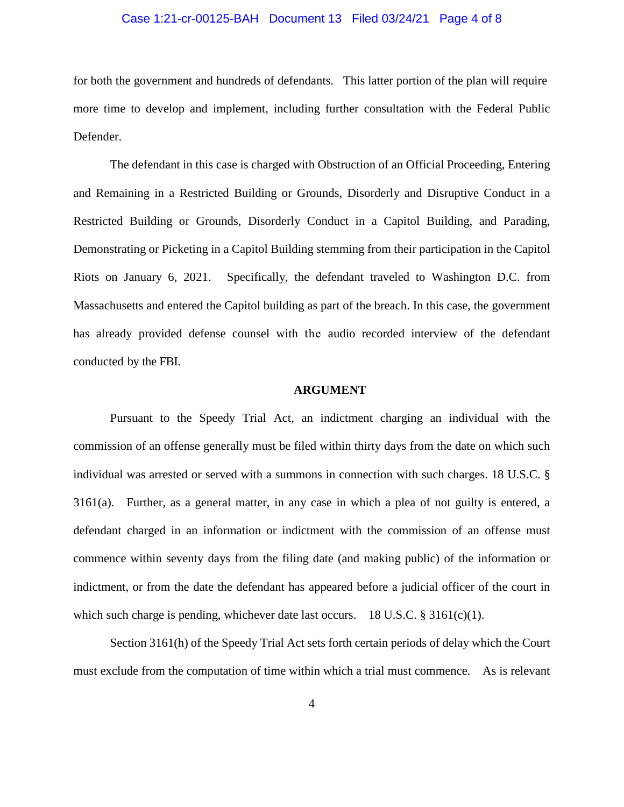### Case 1:21-cr-00125-BAH Document 13 Filed 03/24/21 Page 4 of 8

for both the government and hundreds of defendants. This latter portion of the plan will require more time to develop and implement, including further consultation with the Federal Public Defender.

The defendant in this case is charged with Obstruction of an Official Proceeding, Entering and Remaining in a Restricted Building or Grounds, Disorderly and Disruptive Conduct in a Restricted Building or Grounds, Disorderly Conduct in a Capitol Building, and Parading, Demonstrating or Picketing in a Capitol Building stemming from their participation in the Capitol Riots on January 6, 2021. Specifically, the defendant traveled to Washington D.C. from Massachusetts and entered the Capitol building as part of the breach. In this case, the government has already provided defense counsel with the audio recorded interview of the defendant conducted by the FBI.

#### **ARGUMENT**

Pursuant to the Speedy Trial Act, an indictment charging an individual with the commission of an offense generally must be filed within thirty days from the date on which such individual was arrested or served with a summons in connection with such charges. 18 U.S.C. § 3161(a). Further, as a general matter, in any case in which a plea of not guilty is entered, a defendant charged in an information or indictment with the commission of an offense must commence within seventy days from the filing date (and making public) of the information or indictment, or from the date the defendant has appeared before a judicial officer of the court in which such charge is pending, whichever date last occurs. 18 U.S.C. § 3161(c)(1).

Section 3161(h) of the Speedy Trial Act sets forth certain periods of delay which the Court must exclude from the computation of time within which a trial must commence. As is relevant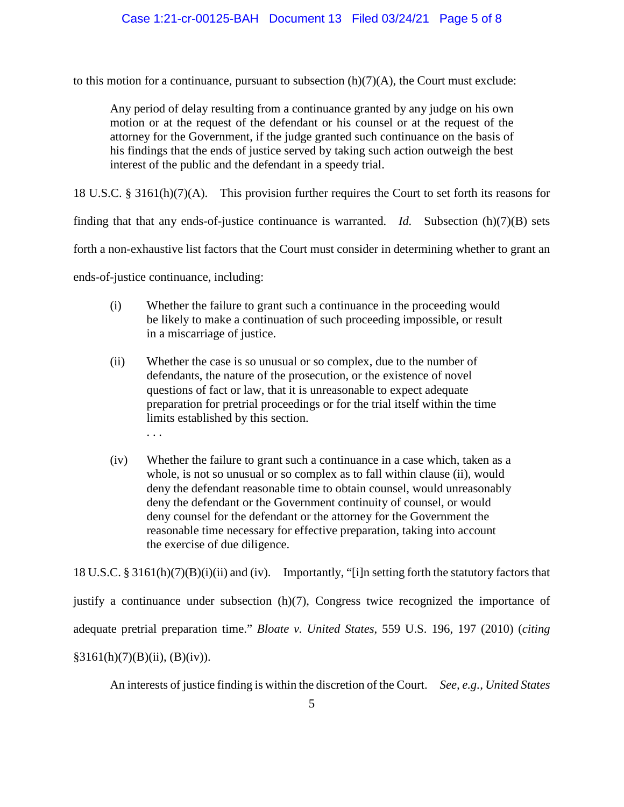to this motion for a continuance, pursuant to subsection  $(h)(7)(A)$ , the Court must exclude:

Any period of delay resulting from a continuance granted by any judge on his own motion or at the request of the defendant or his counsel or at the request of the attorney for the Government, if the judge granted such continuance on the basis of his findings that the ends of justice served by taking such action outweigh the best interest of the public and the defendant in a speedy trial.

18 U.S.C. § 3161(h)(7)(A). This provision further requires the Court to set forth its reasons for

finding that that any ends-of-justice continuance is warranted. *Id.* Subsection (h)(7)(B) sets

forth a non-exhaustive list factors that the Court must consider in determining whether to grant an

ends-of-justice continuance, including:

. . .

- (i) Whether the failure to grant such a continuance in the proceeding would be likely to make a continuation of such proceeding impossible, or result in a miscarriage of justice.
- (ii) Whether the case is so unusual or so complex, due to the number of defendants, the nature of the prosecution, or the existence of novel questions of fact or law, that it is unreasonable to expect adequate preparation for pretrial proceedings or for the trial itself within the time limits established by this section.
- (iv) Whether the failure to grant such a continuance in a case which, taken as a whole, is not so unusual or so complex as to fall within clause (ii), would deny the defendant reasonable time to obtain counsel, would unreasonably deny the defendant or the Government continuity of counsel, or would deny counsel for the defendant or the attorney for the Government the reasonable time necessary for effective preparation, taking into account the exercise of due diligence.

18 U.S.C. § 3161(h)(7)(B)(i)(ii) and (iv). Importantly, "[i]n setting forth the statutory factors that

justify a continuance under subsection (h)(7), Congress twice recognized the importance of

adequate pretrial preparation time." *Bloate v. United States*, 559 U.S. 196, 197 (2010) (*citing*

 $§3161(h)(7)(B)(ii), (B)(iv)).$ 

An interests of justice finding is within the discretion of the Court. *See, e.g., United States*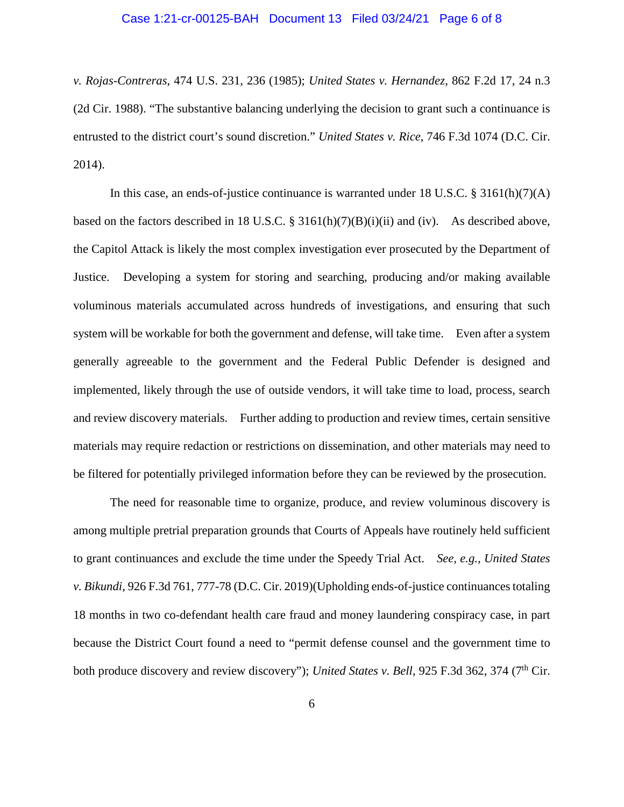#### Case 1:21-cr-00125-BAH Document 13 Filed 03/24/21 Page 6 of 8

*v. Rojas-Contreras*, 474 U.S. 231, 236 (1985); *United States v. Hernandez*, 862 F.2d 17, 24 n.3 (2d Cir. 1988). "The substantive balancing underlying the decision to grant such a continuance is entrusted to the district court's sound discretion." *United States v. Rice*, 746 F.3d 1074 (D.C. Cir. 2014).

In this case, an ends-of-justice continuance is warranted under 18 U.S.C. § 3161(h)(7)(A) based on the factors described in 18 U.S.C. § 3161(h)(7)(B)(i)(ii) and (iv). As described above, the Capitol Attack is likely the most complex investigation ever prosecuted by the Department of Justice. Developing a system for storing and searching, producing and/or making available voluminous materials accumulated across hundreds of investigations, and ensuring that such system will be workable for both the government and defense, will take time. Even after a system generally agreeable to the government and the Federal Public Defender is designed and implemented, likely through the use of outside vendors, it will take time to load, process, search and review discovery materials. Further adding to production and review times, certain sensitive materials may require redaction or restrictions on dissemination, and other materials may need to be filtered for potentially privileged information before they can be reviewed by the prosecution.

The need for reasonable time to organize, produce, and review voluminous discovery is among multiple pretrial preparation grounds that Courts of Appeals have routinely held sufficient to grant continuances and exclude the time under the Speedy Trial Act. *See, e.g., United States v. Bikundi*, 926 F.3d 761, 777-78 (D.C. Cir. 2019)(Upholding ends-of-justice continuances totaling 18 months in two co-defendant health care fraud and money laundering conspiracy case, in part because the District Court found a need to "permit defense counsel and the government time to both produce discovery and review discovery"); *United States v. Bell*, 925 F.3d 362, 374 (7<sup>th</sup> Cir.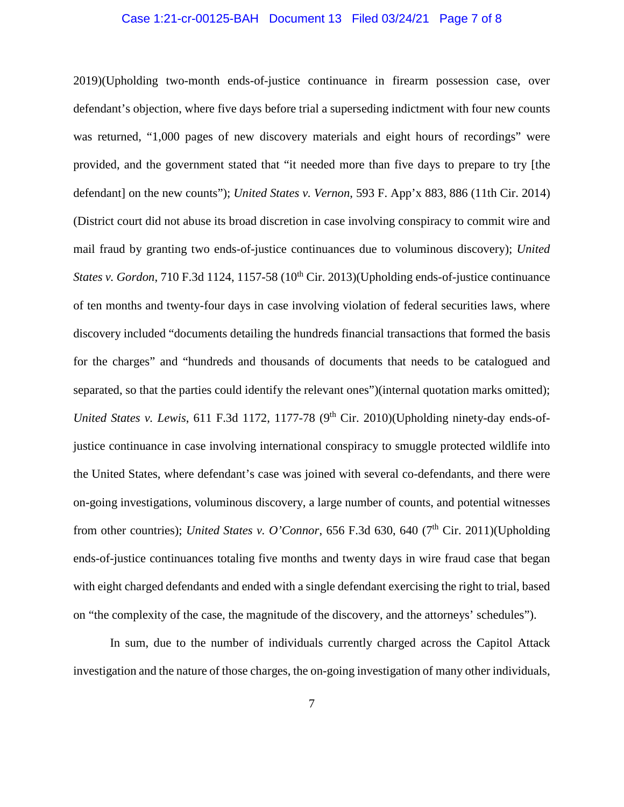### Case 1:21-cr-00125-BAH Document 13 Filed 03/24/21 Page 7 of 8

2019)(Upholding two-month ends-of-justice continuance in firearm possession case, over defendant's objection, where five days before trial a superseding indictment with four new counts was returned, "1,000 pages of new discovery materials and eight hours of recordings" were provided, and the government stated that "it needed more than five days to prepare to try [the defendant] on the new counts"); *United States v. Vernon*, 593 F. App'x 883, 886 (11th Cir. 2014) (District court did not abuse its broad discretion in case involving conspiracy to commit wire and mail fraud by granting two ends-of-justice continuances due to voluminous discovery); *United States v. Gordon*, 710 F.3d 1124, 1157-58 (10<sup>th</sup> Cir. 2013)(Upholding ends-of-justice continuance of ten months and twenty-four days in case involving violation of federal securities laws, where discovery included "documents detailing the hundreds financial transactions that formed the basis for the charges" and "hundreds and thousands of documents that needs to be catalogued and separated, so that the parties could identify the relevant ones")(internal quotation marks omitted); *United States v. Lewis*, 611 F.3d 1172, 1177-78 ( $9<sup>th</sup>$  Cir. 2010)(Upholding ninety-day ends-ofjustice continuance in case involving international conspiracy to smuggle protected wildlife into the United States, where defendant's case was joined with several co-defendants, and there were on-going investigations, voluminous discovery, a large number of counts, and potential witnesses from other countries); *United States v. O'Connor*, 656 F.3d 630, 640 (7<sup>th</sup> Cir. 2011)(Upholding ends-of-justice continuances totaling five months and twenty days in wire fraud case that began with eight charged defendants and ended with a single defendant exercising the right to trial, based on "the complexity of the case, the magnitude of the discovery, and the attorneys' schedules").

In sum, due to the number of individuals currently charged across the Capitol Attack investigation and the nature of those charges, the on-going investigation of many other individuals,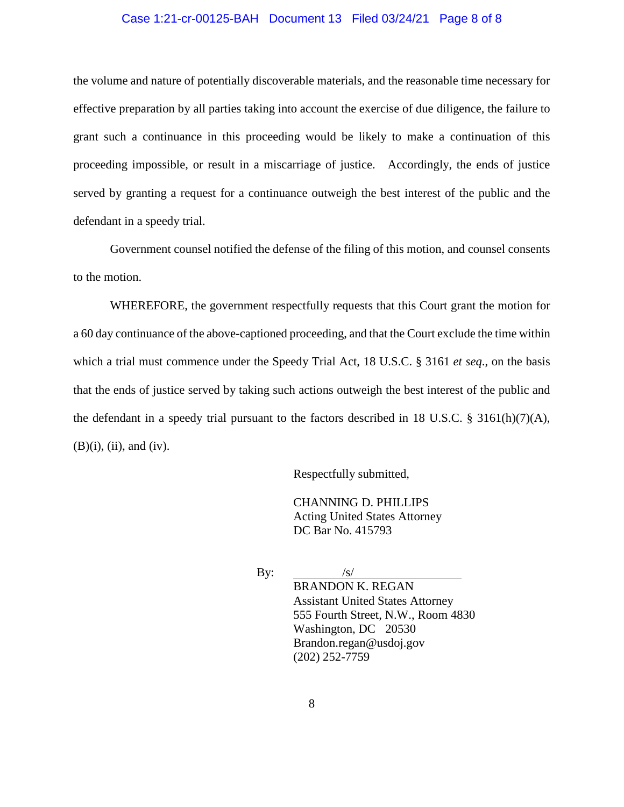### Case 1:21-cr-00125-BAH Document 13 Filed 03/24/21 Page 8 of 8

the volume and nature of potentially discoverable materials, and the reasonable time necessary for effective preparation by all parties taking into account the exercise of due diligence, the failure to grant such a continuance in this proceeding would be likely to make a continuation of this proceeding impossible, or result in a miscarriage of justice. Accordingly, the ends of justice served by granting a request for a continuance outweigh the best interest of the public and the defendant in a speedy trial.

Government counsel notified the defense of the filing of this motion, and counsel consents to the motion.

WHEREFORE, the government respectfully requests that this Court grant the motion for a 60 day continuance of the above-captioned proceeding, and that the Court exclude the time within which a trial must commence under the Speedy Trial Act, 18 U.S.C. § 3161 *et seq*., on the basis that the ends of justice served by taking such actions outweigh the best interest of the public and the defendant in a speedy trial pursuant to the factors described in 18 U.S.C. § 3161(h)(7)(A),  $(B)(i)$ ,  $(ii)$ , and  $(iv)$ .

Respectfully submitted,

CHANNING D. PHILLIPS Acting United States Attorney DC Bar No. 415793

By:  $/s/$ 

BRANDON K. REGAN Assistant United States Attorney 555 Fourth Street, N.W., Room 4830 Washington, DC 20530 Brandon.regan@usdoj.gov (202) 252-7759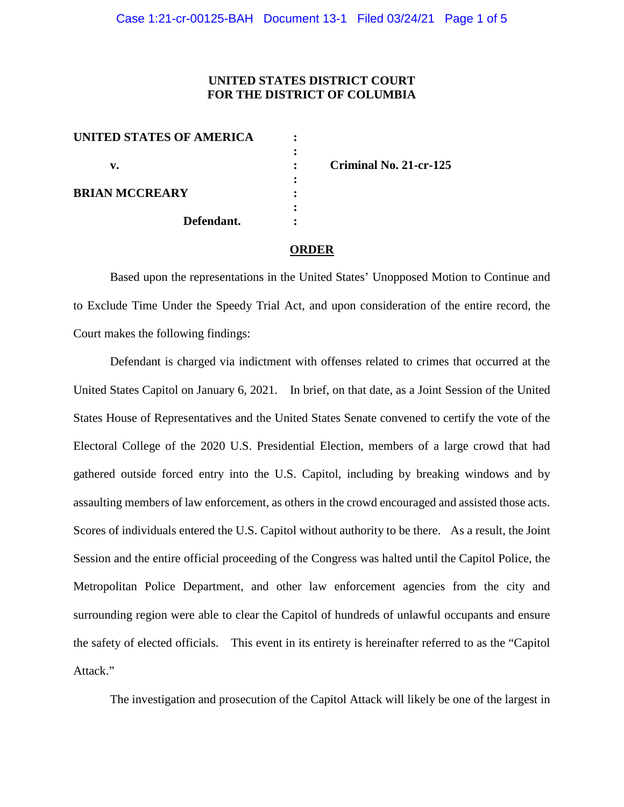# **UNITED STATES DISTRICT COURT FOR THE DISTRICT OF COLUMBIA**

| <b>UNITED STATES OF AMERICA</b> |  |
|---------------------------------|--|
|                                 |  |
| v.                              |  |
|                                 |  |
| <b>BRIAN MCCREARY</b>           |  |
|                                 |  |
| Defendant.                      |  |

**v. : Criminal No. 21-cr-125**

#### **ORDER**

Based upon the representations in the United States' Unopposed Motion to Continue and to Exclude Time Under the Speedy Trial Act, and upon consideration of the entire record, the Court makes the following findings:

Defendant is charged via indictment with offenses related to crimes that occurred at the United States Capitol on January 6, 2021. In brief, on that date, as a Joint Session of the United States House of Representatives and the United States Senate convened to certify the vote of the Electoral College of the 2020 U.S. Presidential Election, members of a large crowd that had gathered outside forced entry into the U.S. Capitol, including by breaking windows and by assaulting members of law enforcement, as others in the crowd encouraged and assisted those acts. Scores of individuals entered the U.S. Capitol without authority to be there. As a result, the Joint Session and the entire official proceeding of the Congress was halted until the Capitol Police, the Metropolitan Police Department, and other law enforcement agencies from the city and surrounding region were able to clear the Capitol of hundreds of unlawful occupants and ensure the safety of elected officials. This event in its entirety is hereinafter referred to as the "Capitol Attack."

The investigation and prosecution of the Capitol Attack will likely be one of the largest in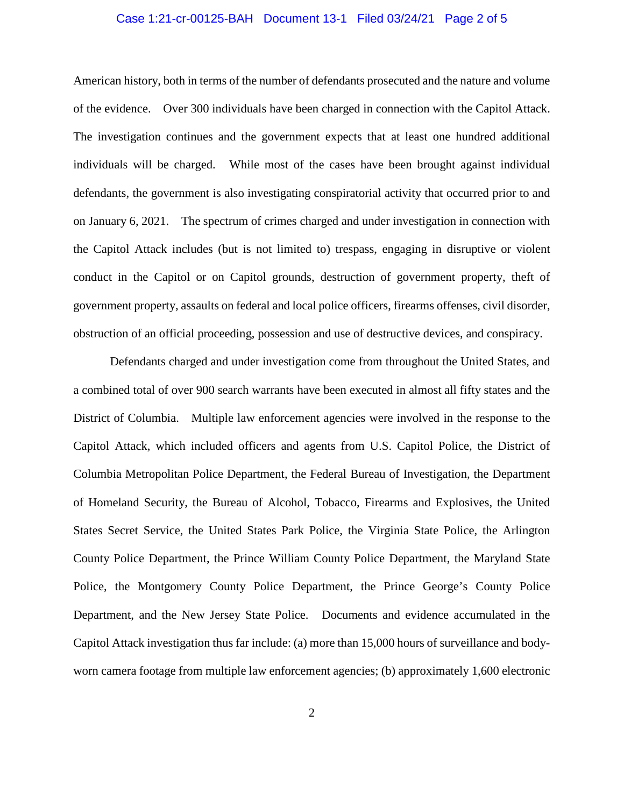### Case 1:21-cr-00125-BAH Document 13-1 Filed 03/24/21 Page 2 of 5

American history, both in terms of the number of defendants prosecuted and the nature and volume of the evidence. Over 300 individuals have been charged in connection with the Capitol Attack. The investigation continues and the government expects that at least one hundred additional individuals will be charged. While most of the cases have been brought against individual defendants, the government is also investigating conspiratorial activity that occurred prior to and on January 6, 2021. The spectrum of crimes charged and under investigation in connection with the Capitol Attack includes (but is not limited to) trespass, engaging in disruptive or violent conduct in the Capitol or on Capitol grounds, destruction of government property, theft of government property, assaults on federal and local police officers, firearms offenses, civil disorder, obstruction of an official proceeding, possession and use of destructive devices, and conspiracy.

Defendants charged and under investigation come from throughout the United States, and a combined total of over 900 search warrants have been executed in almost all fifty states and the District of Columbia. Multiple law enforcement agencies were involved in the response to the Capitol Attack, which included officers and agents from U.S. Capitol Police, the District of Columbia Metropolitan Police Department, the Federal Bureau of Investigation, the Department of Homeland Security, the Bureau of Alcohol, Tobacco, Firearms and Explosives, the United States Secret Service, the United States Park Police, the Virginia State Police, the Arlington County Police Department, the Prince William County Police Department, the Maryland State Police, the Montgomery County Police Department, the Prince George's County Police Department, and the New Jersey State Police. Documents and evidence accumulated in the Capitol Attack investigation thus far include: (a) more than 15,000 hours of surveillance and bodyworn camera footage from multiple law enforcement agencies; (b) approximately 1,600 electronic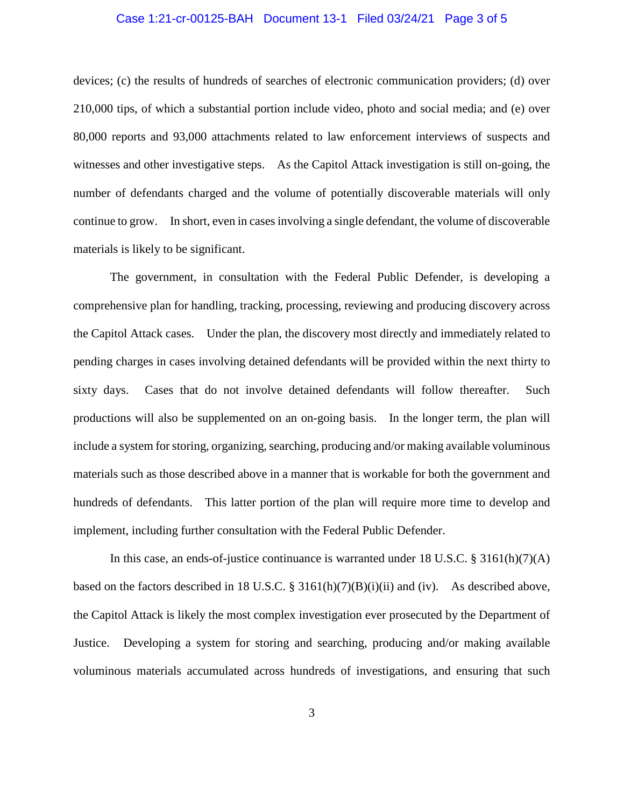### Case 1:21-cr-00125-BAH Document 13-1 Filed 03/24/21 Page 3 of 5

devices; (c) the results of hundreds of searches of electronic communication providers; (d) over 210,000 tips, of which a substantial portion include video, photo and social media; and (e) over 80,000 reports and 93,000 attachments related to law enforcement interviews of suspects and witnesses and other investigative steps. As the Capitol Attack investigation is still on-going, the number of defendants charged and the volume of potentially discoverable materials will only continue to grow. In short, even in cases involving a single defendant, the volume of discoverable materials is likely to be significant.

The government, in consultation with the Federal Public Defender, is developing a comprehensive plan for handling, tracking, processing, reviewing and producing discovery across the Capitol Attack cases. Under the plan, the discovery most directly and immediately related to pending charges in cases involving detained defendants will be provided within the next thirty to sixty days. Cases that do not involve detained defendants will follow thereafter. Such productions will also be supplemented on an on-going basis. In the longer term, the plan will include a system for storing, organizing, searching, producing and/or making available voluminous materials such as those described above in a manner that is workable for both the government and hundreds of defendants. This latter portion of the plan will require more time to develop and implement, including further consultation with the Federal Public Defender.

In this case, an ends-of-justice continuance is warranted under 18 U.S.C. § 3161(h)(7)(A) based on the factors described in 18 U.S.C. § 3161(h)(7)(B)(i)(ii) and (iv). As described above, the Capitol Attack is likely the most complex investigation ever prosecuted by the Department of Justice. Developing a system for storing and searching, producing and/or making available voluminous materials accumulated across hundreds of investigations, and ensuring that such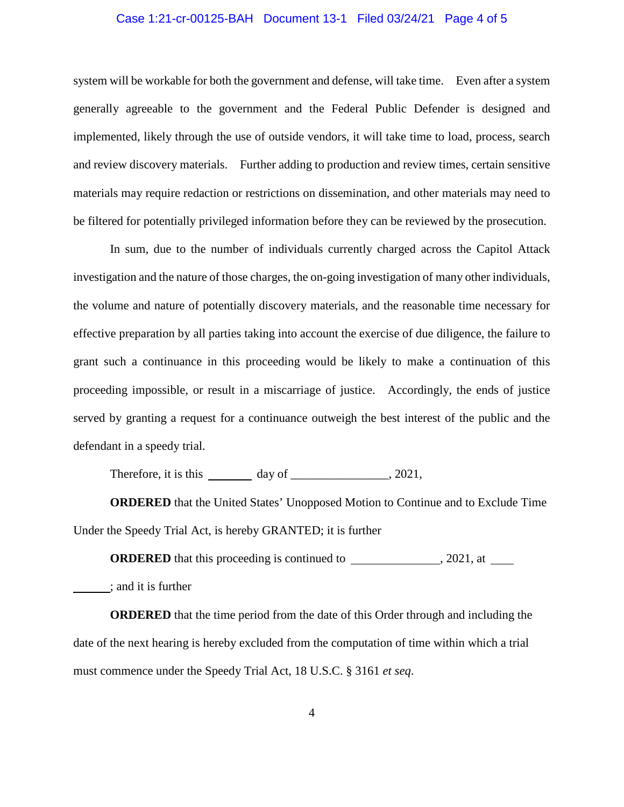### Case 1:21-cr-00125-BAH Document 13-1 Filed 03/24/21 Page 4 of 5

system will be workable for both the government and defense, will take time. Even after a system generally agreeable to the government and the Federal Public Defender is designed and implemented, likely through the use of outside vendors, it will take time to load, process, search and review discovery materials. Further adding to production and review times, certain sensitive materials may require redaction or restrictions on dissemination, and other materials may need to be filtered for potentially privileged information before they can be reviewed by the prosecution.

In sum, due to the number of individuals currently charged across the Capitol Attack investigation and the nature of those charges, the on-going investigation of many other individuals, the volume and nature of potentially discovery materials, and the reasonable time necessary for effective preparation by all parties taking into account the exercise of due diligence, the failure to grant such a continuance in this proceeding would be likely to make a continuation of this proceeding impossible, or result in a miscarriage of justice. Accordingly, the ends of justice served by granting a request for a continuance outweigh the best interest of the public and the defendant in a speedy trial.

Therefore, it is this day of  $\frac{1}{2021}$ ,

**ORDERED** that the United States' Unopposed Motion to Continue and to Exclude Time Under the Speedy Trial Act, is hereby GRANTED; it is further

**ORDERED** that this proceeding is continued to , 2021, at

; and it is further

**ORDERED** that the time period from the date of this Order through and including the date of the next hearing is hereby excluded from the computation of time within which a trial must commence under the Speedy Trial Act, 18 U.S.C. § 3161 *et seq*.